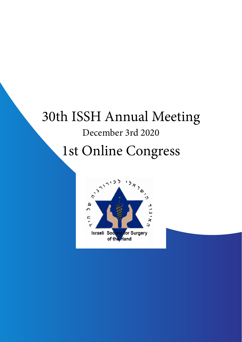## 30th ISSH Annual Meeting

## December 3rd 2020

# 1st Online Congress

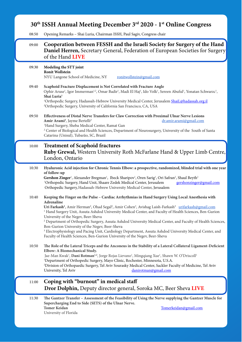## **30th ISSH Annual Meeting December 3rd 2020 - 1st Online Congress**

08:50 Opening Remarks – Shai Luria, Chairman ISSH, Paul Sagiv, Congress chair

## 09:00 **Cooperation between FESSH and the Israeli Society for Surgery of the Hand Daniel Herren,** Secretary General, Federation of European Societies for Surgery of the Hand **LIVE**

## 09:30 **Modeling the STT joint Ronit Wollstein**

j

NYU Langone School of Medicine, NY ronitwollstein@gmail.com

09:40 **Scaphoid Fracture Displacement is Not Correlated with Fracture Angle** Ophir Aruse<sup>1</sup>, Igor Immerman<sup>1,2</sup>, Omar Badir<sup>1</sup>, Madi El Haj<sup>1</sup>, Ido Volk<sup>1</sup>, Sereen Abuful<sup>1</sup>, Yonatan Schwarzc<sup>1</sup>, **Shai Luria1**  $\frac{1}{2}$ <sup>1</sup>Orthopedic Surgery, Hadassah-Hebrew University Medical Center, Jerusalem ShaiL@hadassah.org.il

*2* Orthopedic Surgery, University of California San Francisco, CA, USA

#### 09:50 **Effectiveness of Distal Nerve Transfers for Claw Correction with Proximal Ulnar Nerve Lesions Amir Arami***<sup>1</sup>* dr.amir.arami@gmail.com <sup>1</sup>Hand Surgery, Sheba Medical Center, Ramat Gan

*2* Center of Biological and Health Sciences, Department of Neurosurgery, University of the South of Santa Catarina (Unisul), Tubarão, SC, Brazil

## 10:00 **Treatment of Scaphoid fractures Ruby Grewal,** Western University Roth McFarlane Hand & Upper Limb Centre, London, Ontario

## 10:30 **Hyaluronic Acid injection for Chronic Tennis Elbow: a prospective, randomized, blinded trial with one year of follow-up**

Gershon Zinger<sup>1</sup>, Alexander Bregman<sup>1</sup>, Ibeck Sharipov<sup>1</sup>, Oren Sarig<sup>1</sup>, Ori Safran<sup>2</sup>, Shaul Beyth<sup>2</sup>  $\frac{1}{2}$ <sup>1</sup>Orthopedic Surgery, Hand Unit, Shaare Zedek Medical Center, Jerusalem gershonzinger@gmail.com Orthopedic Surgery,Hadassah-Hebrew University Medical Center, Jerusalem

### 10:40 **Keeping the Finger on the Pulse – Cardiac Arrhythmias in Hand Surgery Using Local Anesthesia with Adrenaline**

U**ri Farkash'**, Amir Herman<sup>2</sup>, Ohad Segal<sup>2</sup>, Amir Cohen<sup>3</sup>, Avishag Laish-Farkash<sup>3</sup> urifarkash@gmail.com 1 Hand Surgery Unit, Assuta Ashdod University Medical Center, and Faculty of Health Sciences, Ben-Gurion University of the Negev, Beer-Sheva

> 2 Department of Orthopedic Surgery, Assuta Ashdod University Medical Center, and Faculty of Health Sciences, Ben-Gurion University of the Negev, Beer-Sheva

3 Electrophysiology and Pacing Unit, Cardiology Department, Assuta Ashdod University Medical Center, and Faculty of Health Sciences, Ben-Gurion University of the Negev, Beer-Sheva

## 10:50 **The Role of the Lateral Triceps and the Anconeus in the Stability of a Lateral Collateral Ligament-Deficient Elbow: A Biomechanical Study.**

Jae-Man Kwak<sup>1</sup>, **Dani Rotman**<sup>1,2</sup>, Jorge Rojas Lievano<sup>1</sup>, Mingqiang Xue<sup>1</sup>, Shawn W. O'Driscoll<sup>1</sup>  $\frac{1}{2}$ Department of Orthopedic Surgery, Mayo Clinic, Rochester, Minnesota, U.S.A. 2 Division of Orthopaedic Surgery, Tel Aviv Sourasky Medical Center, Sackler Faculty of Medicine, Tel Aviv

University, Tel Aviv danirotman@gmail.com

## 11:00 **Coping with "burnout" in medical staff Dror Dolphin,** Deputy director general, Soroka MC, Beer Sheva **LIVE**

11:30 **The Gantzer Transfer – Assessment of the Feasibility of Using the Nerve supplying the Gantzer Muscle for Supercharging End to Side (SETS) of the Ulnar Nerve. Tomer Keidan** Tomer Keidan Tomerkeidan Gullen and Tomerkeidan Gullen and Tomerkeidan Gullen and Tomerkeidan Gullen and Tomerkeidan Gullen and Tomerkeidan Gullen and Tomerkeidan Gullen and Tomerkeidan Gullen and Tomerkeida University of Florida